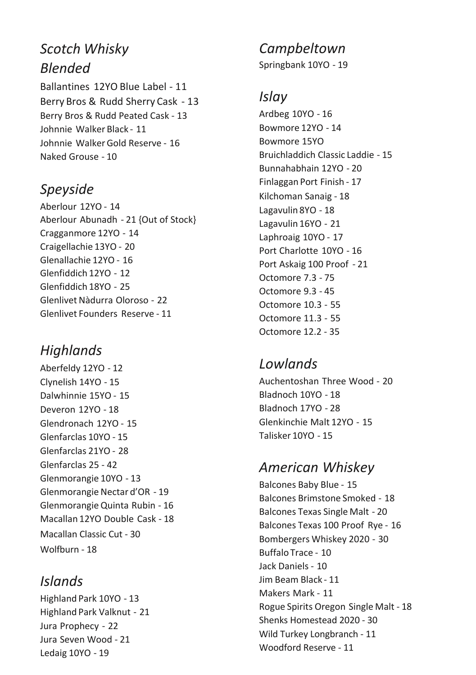# *Scotch Whisky Blended*

Ballantines 12YO Blue Label - 11 Berry Bros & Rudd Sherry Cask - 13 Berry Bros & Rudd Peated Cask - 13 Johnnie Walker Black - 11 Johnnie Walker Gold Reserve - 16 Naked Grouse - 10

## *Speyside*

Aberlour 12YO - 14 Aberlour Abunadh - 21 {Out of Stock} Cragganmore 12YO - 14 Craigellachie 13YO - 20 Glenallachie 12YO - 16 Glenfiddich 12YO - 12 Glenfiddich 18YO - 25 Glenlivet Nàdurra Oloroso - 22 Glenlivet Founders Reserve - 11

## *Highlands*

Aberfeldy 12YO - 12 Clynelish 14YO - 15 Dalwhinnie 15YO - 15 Deveron 12YO - 18 Glendronach 12YO - 15 Glenfarclas 10YO - 15 Glenfarclas 21YO - 28 Glenfarclas 25 - 42 Glenmorangie 10YO - 13 Glenmorangie Nectar d'OR - 19 Glenmorangie Quinta Rubin - 16 Macallan 12YO Double Cask - 18 Macallan Classic Cut - 30 Wolfburn - 18

## *Islands*

Highland Park 10YO - 13 Highland Park Valknut - 21 Jura Prophecy - 22 Jura Seven Wood - 21 Ledaig 10YO - 19

*Campbeltown* 

Springbank 10YO - 19

#### *Islay*

Ardbeg 10YO - 16 Bowmore 12YO - 14 Bowmore 15YO Bruichladdich Classic Laddie - 15 Bunnahabhain 12YO - 20 Finlaggan Port Finish - 17 Kilchoman Sanaig - 18 Lagavulin 8YO - 18 Lagavulin 16YO - 21 Laphroaig 10YO - 17 Port Charlotte 10YO - 16 Port Askaig 100 Proof - 21 Octomore 7.3 - 75 Octomore 9.3 - 45 Octomore 10.3 - 55 Octomore 11.3 - 55 Octomore 12.2 - 35

## *Lowlands*

Auchentoshan Three Wood - 20 Bladnoch 10YO - 18 Bladnoch 17YO - 28 Glenkinchie Malt 12YO - 15 Talisker 10YO - 15

## *American Whiskey*

Balcones Baby Blue - 15 Balcones Brimstone Smoked - 18 Balcones Texas Single Malt - 20 Balcones Texas 100 Proof Rye - 16 Bombergers Whiskey 2020 - 30 Buffalo Trace - 10 Jack Daniels - 10 Jim Beam Black - 11 Makers Mark - 11 Rogue Spirits Oregon Single Malt - 18 Shenks Homestead 2020 - 30 Wild Turkey Longbranch - 11 Woodford Reserve - 11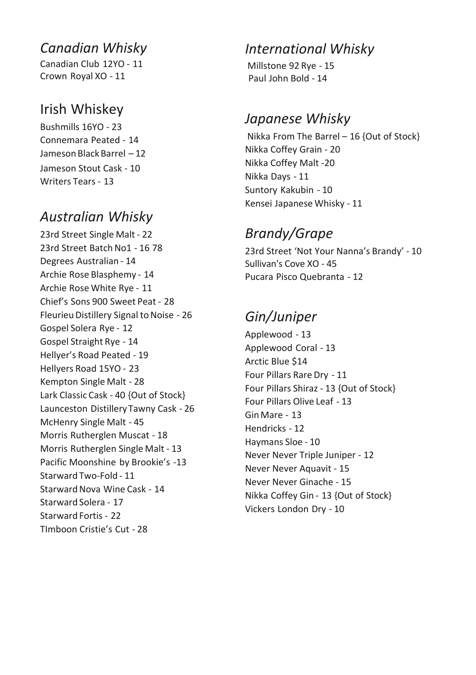#### *Canadian Whisky*

Canadian Club 12YO - 11 Crown Royal XO - 11

#### Irish Whiskey

Bushmills 16YO - 23 Connemara Peated - 14 Jameson Black Barrel – 12 Jameson Stout Cask - 10 Writers Tears - 13

#### *Australian Whisky*

23rd Street Single Malt - 22 23rd Street Batch No1 - 16 78 Degrees Australian - 14 Archie Rose Blasphemy - 14 Archie Rose White Rye - 11 Chief's Sons 900 Sweet Peat - 28 Fleurieu Distillery Signal to Noise - 26 Gospel Solera Rye - 12 Gospel Straight Rye - 14 Hellyer's Road Peated - 19 Hellyers Road 15YO - 23 Kempton Single Malt - 28 Lark Classic Cask - 40 {Out of Stock} Launceston Distillery Tawny Cask - 26 McHenry Single Malt - 45 Morris Rutherglen Muscat - 18 Morris Rutherglen Single Malt - 13 Pacific Moonshine by Brookie's -13 Starward Two-Fold - 11 Starward Nova Wine Cask - 14 Starward Solera - 17 Starward Fortis - 22 TImboon Cristie's Cut - 28

#### *International Whisky*

Millstone 92 Rye - 15 Paul John Bold - 14

#### *Japanese Whisky*

Nikka From The Barrel – 16 {Out of Stock} Nikka Coffey Grain - 20 Nikka Coffey Malt -20 Nikka Days - 11 Suntory Kakubin - 10 Kensei Japanese Whisky - 11

## *Brandy/Grape*

23rd Street 'Not Your Nanna's Brandy' - 10 Sullivan's Cove XO - 45 Pucara Pisco Quebranta - 12

## *Gin/Juniper*

Applewood - 13 Applewood Coral - 13 Arctic Blue \$14 Four Pillars Rare Dry - 11 Four Pillars Shiraz - 13 {Out of Stock} Four Pillars Olive Leaf - 13 Gin Mare - 13 Hendricks - 12 Haymans Sloe - 10 Never Never Triple Juniper - 12 Never Never Aquavit - 15 Never Never Ginache - 15 Nikka Coffey Gin - 13 {Out of Stock} Vickers London Dry - 10